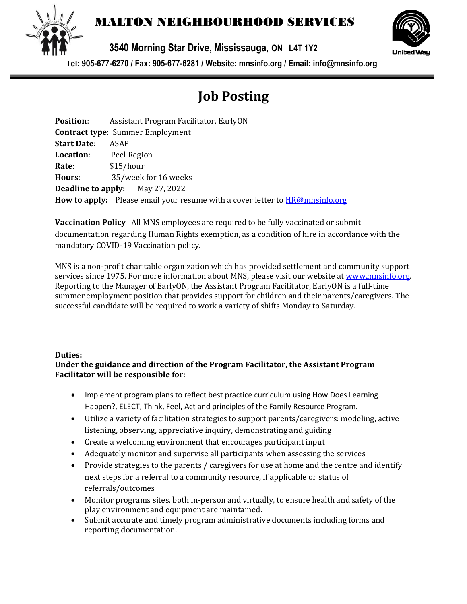

## MALTON NEIGHBOURHOOD SERVICES

**3540 Morning Star Drive, Mississauga, ON L4T 1Y2** 



**Tel: 905-677-6270 / Fax: 905-677-6281 / Website: mnsinfo.org / Email: info@mnsinfo.org**

# **Job Posting**

| <b>Position:</b>   | Assistant Program Facilitator, EarlyON                                                     |
|--------------------|--------------------------------------------------------------------------------------------|
|                    | <b>Contract type: Summer Employment</b>                                                    |
| <b>Start Date:</b> | ASAP                                                                                       |
| <b>Location:</b>   | Peel Region                                                                                |
| Rate:              | \$15/hour                                                                                  |
| Hours:             | 35/week for 16 weeks                                                                       |
|                    | <b>Deadline to apply:</b> May 27, 2022                                                     |
|                    | <b>How to apply:</b> Please email your resume with a cover letter to <b>HR@mnsinfo.org</b> |

**Vaccination Policy** All MNS employees are required to be fully vaccinated or submit documentation regarding Human Rights exemption, as a condition of hire in accordance with the mandatory COVID-19 Vaccination policy.

MNS is a non-profit charitable organization which has provided settlement and community support services since 1975. For more information about MNS, please visit our website at [www.mnsinfo.org.](http://www.mnsinfo.org/) Reporting to the Manager of EarlyON, the Assistant Program Facilitator, EarlyON is a full-time summer employment position that provides support for children and their parents/caregivers. The successful candidate will be required to work a variety of shifts Monday to Saturday.

#### **Duties:**

#### **Under the guidance and direction of the Program Facilitator, the Assistant Program Facilitator will be responsible for:**

- Implement program plans to reflect best practice curriculum using How Does Learning Happen?, ELECT, Think, Feel, Act and principles of the Family Resource Program.
- Utilize a variety of facilitation strategies to support parents/caregivers: modeling, active listening, observing, appreciative inquiry, demonstrating and guiding
- Create a welcoming environment that encourages participant input
- Adequately monitor and supervise all participants when assessing the services
- Provide strategies to the parents / caregivers for use at home and the centre and identify next steps for a referral to a community resource, if applicable or status of referrals/outcomes
- Monitor programs sites, both in-person and virtually, to ensure health and safety of the play environment and equipment are maintained.
- Submit accurate and timely program administrative documents including forms and reporting documentation.